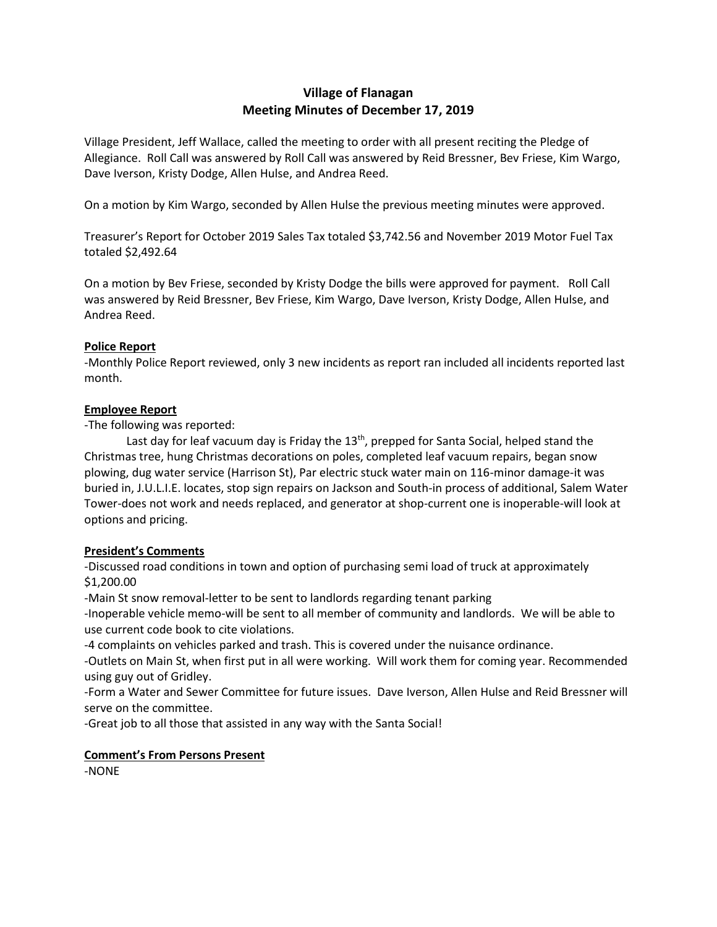# **Village of Flanagan Meeting Minutes of December 17, 2019**

Village President, Jeff Wallace, called the meeting to order with all present reciting the Pledge of Allegiance. Roll Call was answered by Roll Call was answered by Reid Bressner, Bev Friese, Kim Wargo, Dave Iverson, Kristy Dodge, Allen Hulse, and Andrea Reed.

On a motion by Kim Wargo, seconded by Allen Hulse the previous meeting minutes were approved.

Treasurer's Report for October 2019 Sales Tax totaled \$3,742.56 and November 2019 Motor Fuel Tax totaled \$2,492.64

On a motion by Bev Friese, seconded by Kristy Dodge the bills were approved for payment. Roll Call was answered by Reid Bressner, Bev Friese, Kim Wargo, Dave Iverson, Kristy Dodge, Allen Hulse, and Andrea Reed.

### **Police Report**

-Monthly Police Report reviewed, only 3 new incidents as report ran included all incidents reported last month.

#### **Employee Report**

-The following was reported:

Last day for leaf vacuum day is Friday the 13<sup>th</sup>, prepped for Santa Social, helped stand the Christmas tree, hung Christmas decorations on poles, completed leaf vacuum repairs, began snow plowing, dug water service (Harrison St), Par electric stuck water main on 116-minor damage-it was buried in, J.U.L.I.E. locates, stop sign repairs on Jackson and South-in process of additional, Salem Water Tower-does not work and needs replaced, and generator at shop-current one is inoperable-will look at options and pricing.

## **President's Comments**

-Discussed road conditions in town and option of purchasing semi load of truck at approximately \$1,200.00

-Main St snow removal-letter to be sent to landlords regarding tenant parking

-Inoperable vehicle memo-will be sent to all member of community and landlords. We will be able to use current code book to cite violations.

-4 complaints on vehicles parked and trash. This is covered under the nuisance ordinance.

-Outlets on Main St, when first put in all were working. Will work them for coming year. Recommended using guy out of Gridley.

-Form a Water and Sewer Committee for future issues. Dave Iverson, Allen Hulse and Reid Bressner will serve on the committee.

-Great job to all those that assisted in any way with the Santa Social!

#### **Comment's From Persons Present**

-NONE